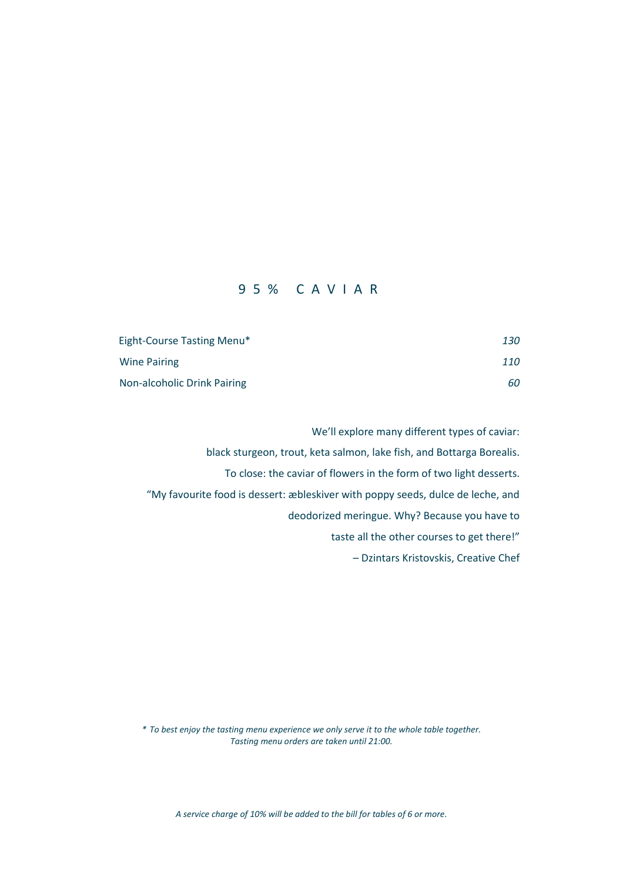### 9 5 % C A V I A R

| Eight-Course Tasting Menu*  | 130 |
|-----------------------------|-----|
| <b>Wine Pairing</b>         | 110 |
| Non-alcoholic Drink Pairing | 60  |

We'll explore many different types of caviar: black sturgeon, trout, keta salmon, lake fish, and Bottarga Borealis. To close: the caviar of flowers in the form of two light desserts. "My favourite food is dessert: æbleskiver with poppy seeds, dulce de leche, and deodorized meringue. Why? Because you have to taste all the other courses to get there!" – Dzintars Kristovskis, Creative Chef

*\* To best enjoy the tasting menu experience we only serve it to the whole table together. Tasting menu orders are taken until 21:00.*

*A service charge of 10% will be added to the bill for tables of 6 or more.*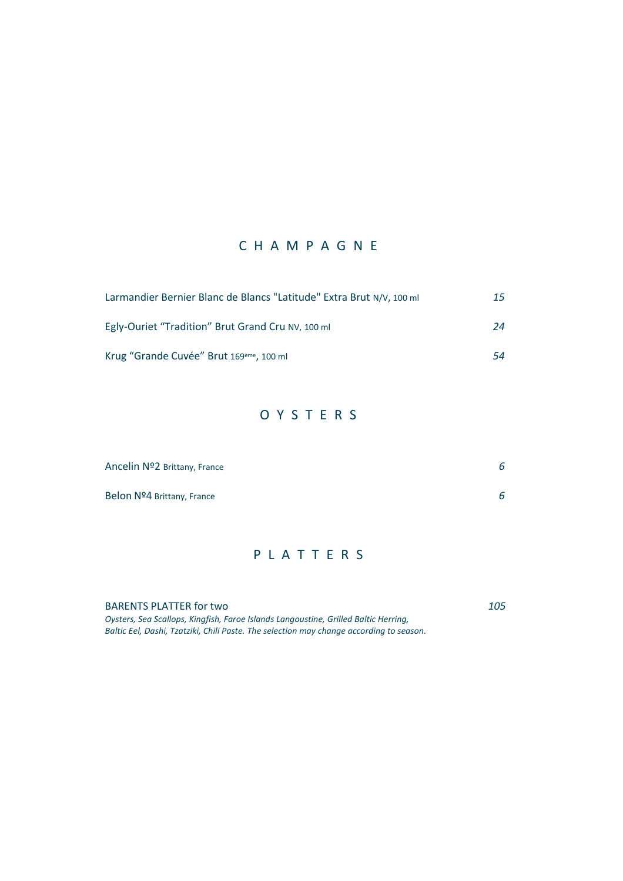### C H A M P A G N E

| Larmandier Bernier Blanc de Blancs "Latitude" Extra Brut N/V, 100 ml | 15 |
|----------------------------------------------------------------------|----|
| Egly-Ouriet "Tradition" Brut Grand Cru NV, 100 ml                    | 24 |
| Krug "Grande Cuvée" Brut 169 <sup>ème</sup> , 100 ml                 | 54 |

# O Y S T E R S

| Ancelin Nº2 Brittany, France | 6 |
|------------------------------|---|
| Belon Nº4 Brittany, France   | 6 |

#### P L A T T E R S

BARENTS PLATTER for two *105 Oysters, Sea Scallops, Kingfish, Faroe Islands Langoustine, Grilled Baltic Herring, Baltic Eel, Dashi, Tzatziki, Chili Paste. The selection may change according to season.*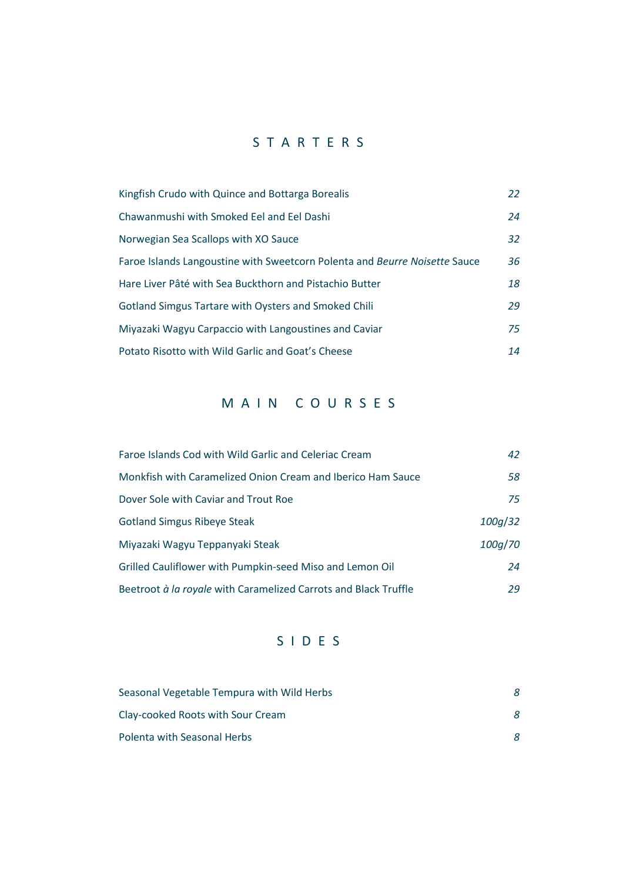## S T A R T E R S

| Kingfish Crudo with Quince and Bottarga Borealis                           | 22 |
|----------------------------------------------------------------------------|----|
| Chawanmushi with Smoked Eel and Eel Dashi                                  | 24 |
| Norwegian Sea Scallops with XO Sauce                                       | 32 |
| Faroe Islands Langoustine with Sweetcorn Polenta and Beurre Noisette Sauce | 36 |
| Hare Liver Pâté with Sea Buckthorn and Pistachio Butter                    | 18 |
| Gotland Simgus Tartare with Oysters and Smoked Chili                       | 29 |
| Miyazaki Wagyu Carpaccio with Langoustines and Caviar                      | 75 |
| Potato Risotto with Wild Garlic and Goat's Cheese                          | 14 |

## M A I N C O U R S E S

| Faroe Islands Cod with Wild Garlic and Celeriac Cream           | 42      |
|-----------------------------------------------------------------|---------|
| Monkfish with Caramelized Onion Cream and Iberico Ham Sauce     | 58      |
| Dover Sole with Caviar and Trout Roe                            | 75      |
| <b>Gotland Simgus Ribeye Steak</b>                              | 100g/32 |
| Miyazaki Wagyu Teppanyaki Steak                                 | 100g/70 |
| Grilled Cauliflower with Pumpkin-seed Miso and Lemon Oil        | 24      |
| Beetroot à la royale with Caramelized Carrots and Black Truffle | 29      |

# S I D E S

| Seasonal Vegetable Tempura with Wild Herbs |  |
|--------------------------------------------|--|
| Clay-cooked Roots with Sour Cream          |  |
| Polenta with Seasonal Herbs                |  |